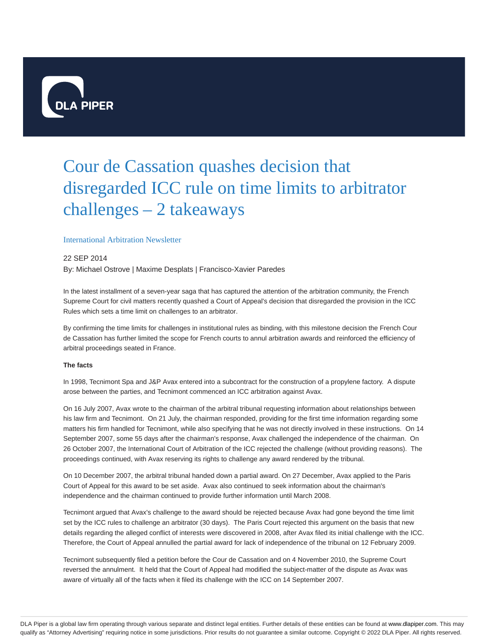

# Cour de Cassation quashes decision that disregarded ICC rule on time limits to arbitrator challenges – 2 takeaways

### International Arbitration Newsletter

## 22 SEP 2014 By: Michael Ostrove | Maxime Desplats | Francisco-Xavier Paredes

In the latest installment of a seven-year saga that has captured the attention of the arbitration community, the French Supreme Court for civil matters recently quashed a Court of Appeal's decision that disregarded the provision in the ICC Rules which sets a time limit on challenges to an arbitrator.

By confirming the time limits for challenges in institutional rules as binding, with this milestone decision the French Cour de Cassation has further limited the scope for French courts to annul arbitration awards and reinforced the efficiency of arbitral proceedings seated in France.

#### **The facts**

In 1998, Tecnimont Spa and J&P Avax entered into a subcontract for the construction of a propylene factory. A dispute arose between the parties, and Tecnimont commenced an ICC arbitration against Avax.

On 16 July 2007, Avax wrote to the chairman of the arbitral tribunal requesting information about relationships between his law firm and Tecnimont. On 21 July, the chairman responded, providing for the first time information regarding some matters his firm handled for Tecnimont, while also specifying that he was not directly involved in these instructions. On 14 September 2007, some 55 days after the chairman's response, Avax challenged the independence of the chairman. On 26 October 2007, the International Court of Arbitration of the ICC rejected the challenge (without providing reasons). The proceedings continued, with Avax reserving its rights to challenge any award rendered by the tribunal.

On 10 December 2007, the arbitral tribunal handed down a partial award. On 27 December, Avax applied to the Paris Court of Appeal for this award to be set aside. Avax also continued to seek information about the chairman's independence and the chairman continued to provide further information until March 2008.

Tecnimont argued that Avax's challenge to the award should be rejected because Avax had gone beyond the time limit set by the ICC rules to challenge an arbitrator (30 days). The Paris Court rejected this argument on the basis that new details regarding the alleged conflict of interests were discovered in 2008, after Avax filed its initial challenge with the ICC. Therefore, the Court of Appeal annulled the partial award for lack of independence of the tribunal on 12 February 2009.

Tecnimont subsequently filed a petition before the Cour de Cassation and on 4 November 2010, the Supreme Court reversed the annulment. It held that the Court of Appeal had modified the subject-matter of the dispute as Avax was aware of virtually all of the facts when it filed its challenge with the ICC on 14 September 2007.